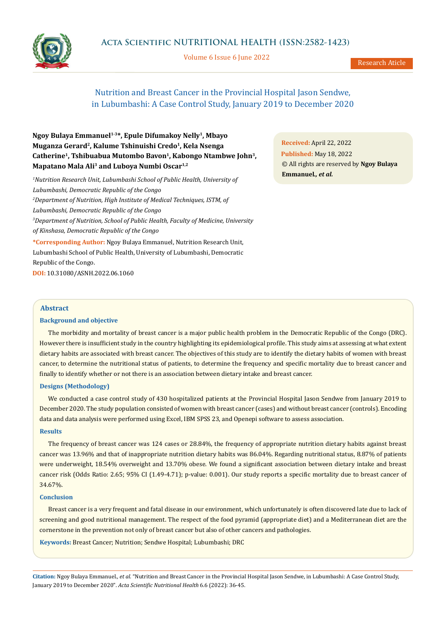# **Acta Scientific NUTRITIONAL HEALTH (ISSN:2582-1423)**

Volume 6 Issue 6 June 2022



Research Aticle

# Nutrition and Breast Cancer in the Provincial Hospital Jason Sendwe, in Lubumbashi: A Case Control Study, January 2019 to December 2020

**Ngoy Bulaya Emmanuel1-3\*, Epule Difumakoy Nelly1, Mbayo Muganza Gerard2, Kalume Tshinuishi Credo1, Kela Nsenga**  Catherine<sup>1</sup>, Tshibuabua Mutombo Bavon<sup>1</sup>, Kabongo Ntambwe John<sup>3</sup>, **Mapatano Mala Ali3 and Luboya Numbi Oscar1,2**

*1 Nutrition Research Unit, Lubumbashi School of Public Health, University of Lubumbashi, Democratic Republic of the Congo 2 Department of Nutrition, High Institute of Medical Techniques, ISTM, of Lubumbashi, Democratic Republic of the Congo 3 Department of Nutrition, School of Public Health, Faculty of Medicine, University of Kinshasa, Democratic Republic of the Congo* **\*Corresponding Author:** Ngoy Bulaya Emmanuel, Nutrition Research Unit,

Lubumbashi School of Public Health, University of Lubumbashi, Democratic Republic of the Congo.

**DOI:** [10.31080/ASNH.2022.06.1060](https://actascientific.com/ASNH/pdf/ASNH-06-1060.pdf)

**Received:** April 22, 2022 **Published:** May 18, 2022 © All rights are reserved by **Ngoy Bulaya Emmanuel***., et al.*

# **Abstract**

## **Background and objective**

The morbidity and mortality of breast cancer is a major public health problem in the Democratic Republic of the Congo (DRC). However there is insufficient study in the country highlighting its epidemiological profile. This study aims at assessing at what extent dietary habits are associated with breast cancer. The objectives of this study are to identify the dietary habits of women with breast cancer, to determine the nutritional status of patients, to determine the frequency and specific mortality due to breast cancer and finally to identify whether or not there is an association between dietary intake and breast cancer.

## **Designs (Methodology)**

We conducted a case control study of 430 hospitalized patients at the Provincial Hospital Jason Sendwe from January 2019 to December 2020. The study population consisted of women with breast cancer (cases) and without breast cancer (controls). Encoding data and data analysis were performed using Excel, IBM SPSS 23, and Openepi software to assess association.

## **Results**

The frequency of breast cancer was 124 cases or 28.84%, the frequency of appropriate nutrition dietary habits against breast cancer was 13.96% and that of inappropriate nutrition dietary habits was 86.04%. Regarding nutritional status, 8.87% of patients were underweight, 18.54% overweight and 13.70% obese. We found a significant association between dietary intake and breast cancer risk (Odds Ratio: 2.65; 95% CI (1.49-4.71); p-value: 0.001). Our study reports a specific mortality due to breast cancer of 34.67%.

#### **Conclusion**

Breast cancer is a very frequent and fatal disease in our environment, which unfortunately is often discovered late due to lack of screening and good nutritional management. The respect of the food pyramid (appropriate diet) and a Mediterranean diet are the cornerstone in the prevention not only of breast cancer but also of other cancers and pathologies.

**Keywords:** Breast Cancer; Nutrition; Sendwe Hospital; Lubumbashi; DRC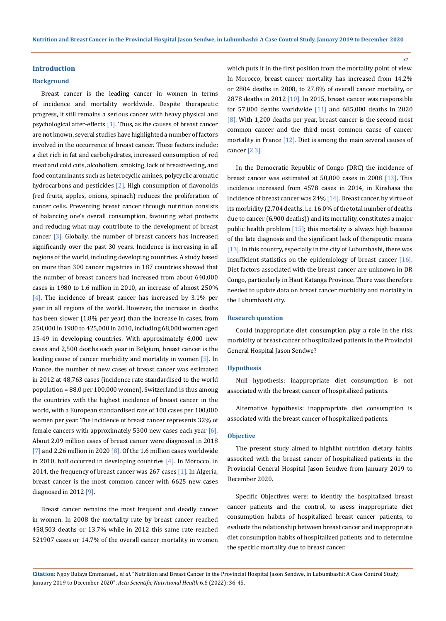#### **Introduction**

#### **Background**

Breast cancer is the leading cancer in women in terms of incidence and mortality worldwide. Despite therapeutic progress, it still remains a serious cancer with heavy physical and psychological after-effects  $[1]$ . Thus, as the causes of breast cancer are not known, several studies have highlighted a number of factors involved in the occurrence of breast cancer. These factors include: a diet rich in fat and carbohydrates, increased consumption of red meat and cold cuts, alcoholism, smoking, lack of breastfeeding, and food contaminants such as heterocyclic amines, polycyclic aromatic hydrocarbons and pesticides  $[2]$ . High consumption of flavonoids (red fruits, apples, onions, spinach) reduces the proliferation of cancer cells. Preventing breast cancer through nutrition consists of balancing one's overall consumption, favouring what protects and reducing what may contribute to the development of breast cancer  $[3]$ . Globally, the number of breast cancers has increased significantly over the past 30 years. Incidence is increasing in all regions of the world, including developing countries. A study based on more than 300 cancer registries in 187 countries showed that the number of breast cancers had increased from about 640,000 cases in 1980 to 1.6 million in 2010, an increase of almost 250% [4]. The incidence of breast cancer has increased by 3.1% per year in all regions of the world. However, the increase in deaths has been slower (1.8% per year) than the increase in cases, from 250,000 in 1980 to 425,000 in 2010, including 68,000 women aged 15-49 in developing countries. With approximately 6,000 new cases and 2,500 deaths each year in Belgium, breast cancer is the leading cause of cancer morbidity and mortality in women [5]. In France, the number of new cases of breast cancer was estimated in 2012 at 48,763 cases (incidence rate standardised to the world population = 88.0 per 100,000 women). Switzerland is thus among the countries with the highest incidence of breast cancer in the world, with a European standardised rate of 108 cases per 100,000 women per year. The incidence of breast cancer represents 32% of female cancers with approximately 5300 new cases each year  $[6]$ . About 2.09 million cases of breast cancer were diagnosed in 2018 [7] and 2.26 million in 2020  $[8]$ . Of the 1.6 million cases worldwide in 2010, half occurred in developing countries [4]. In Morocco, in 2014, the frequency of breast cancer was 267 cases [1]. In Algeria, breast cancer is the most common cancer with 6625 new cases diagnosed in 2012 [9].

Breast cancer remains the most frequent and deadly cancer in women. In 2008 the mortality rate by breast cancer reached 458,503 deaths or 13.7% while in 2012 this same rate reached 521907 cases or 14.7% of the overall cancer mortality in women which puts it in the first position from the mortality point of view. In Morocco, breast cancer mortality has increased from 14.2% or 2804 deaths in 2008, to 27.8% of overall cancer mortality, or 2878 deaths in 2012  $[10]$ . In 2015, breast cancer was responsible for 57,000 deaths worldwide [11] and 685,000 deaths in 2020 [8]. With 1,200 deaths per year, breast cancer is the second most common cancer and the third most common cause of cancer mortality in France [12]. Diet is among the main several causes of cancer [2,3].

In the Democratic Republic of Congo (DRC) the incidence of breast cancer was estimated at 50,000 cases in 2008 [13]. This incidence increased from 4578 cases in 2014, in Kinshasa the incidence of breast cancer was 24% [14]. Breast cancer, by virtue of its morbidity (2,704 deaths, i.e. 16.0% of the total number of deaths due to cancer (6,900 deaths)) and its mortality, constitutes a major public health problem [15]; this mortality is always high because of the late diagnosis and the significant lack of therapeutic means [13]. In this country, especially in the city of Lubumbashi, there was insufficient statistics on the epidemiology of breast cancer [16]. Diet factors associated with the breast cancer are unknown in DR Congo, particularly in Haut Katanga Province. There was therefore needed to update data on breast cancer morbidity and mortality in the Lubumbashi city.

#### **Research question**

Could inappropriate diet consumption play a role in the risk morbidity of breast cancer of hospitalized patients in the Provincial General Hospital Jason Sendwe?

#### **Hypothesis**

Null hypothesis: inappropriate diet consumption is not associated with the breast cancer of hospitalized patients.

Alternative hypothesis: inappropriate diet consumption is associated with the breast cancer of hospitalized patients.

#### **Objective**

The present study aimed to highliht nutrition dietary habits associted with the breast cancer of hospitalized patients in the Provincial General Hospital Jason Sendwe from January 2019 to December 2020.

Specific Objectives were: to identify the hospitalized breast cancer patients and the control, to asess inappropriate diet consumption habits of hospitalized breast cancer patients, to evaluate the relationship between breast cancer and inappropriate diet consumption habits of hospitalized patients and to determine the specific mortality due to breast cancer.

**Citation:** Ngoy Bulaya Emmanuel*., et al.* "Nutrition and Breast Cancer in the Provincial Hospital Jason Sendwe, in Lubumbashi: A Case Control Study, January 2019 to December 2020". *Acta Scientific Nutritional Health* 6.6 (2022): 36-45.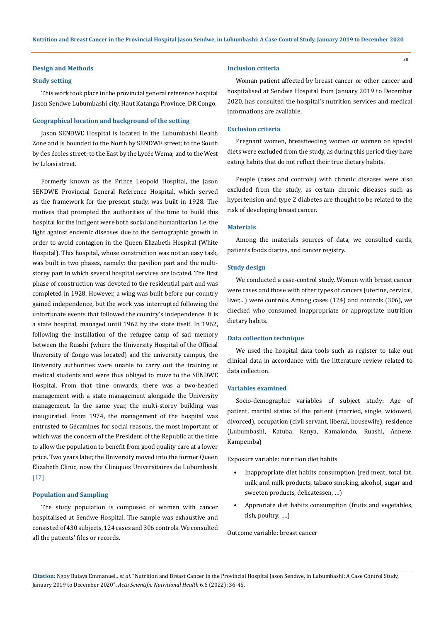#### **Design and Methods**

### **Study setting**

This work took place in the provincial general reference hospital Jason Sendwe Lubumbashi city, Haut Katanga Province, DR Congo.

#### **Geographical location and background of the setting**

Jason SENDWE Hospital is located in the Lubumbashi Health Zone and is bounded to the North by SENDWE street; to the South by des écoles street; to the East by the Lycée Wema; and to the West by Likasi street.

Formerly known as the Prince Leopold Hospital, the Jason SENDWE Provincial General Reference Hospital, which served as the framework for the present study, was built in 1928. The motives that prompted the authorities of the time to build this hospital for the indigent were both social and humanitarian, i.e. the fight against endemic diseases due to the demographic growth in order to avoid contagion in the Queen Elizabeth Hospital (White Hospital). This hospital, whose construction was not an easy task, was built in two phases, namely: the pavilion part and the multistorey part in which several hospital services are located. The first phase of construction was devoted to the residential part and was completed in 1928. However, a wing was built before our country gained independence, but the work was interrupted following the unfortunate events that followed the country's independence. It is a state hospital, managed until 1962 by the state itself. In 1962, following the installation of the refugee camp of sad memory between the Ruashi (where the University Hospital of the Official University of Congo was located) and the university campus, the University authorities were unable to carry out the training of medical students and were thus obliged to move to the SENDWE Hospital. From that time onwards, there was a two-headed management with a state management alongside the University management. In the same year, the multi-storey building was inaugurated. From 1974, the management of the hospital was entrusted to Gécamines for social reasons, the most important of which was the concern of the President of the Republic at the time to allow the population to benefit from good quality care at a lower price. Two years later, the University moved into the former Queen Elizabeth Clinic, now the Cliniques Universitaires de Lubumbashi [17].

## **Population and Sampling**

The study population is composed of women with cancer hospitalised at Sendwe Hospital. The sample was exhaustive and consisted of 430 subjects, 124 cases and 306 controls. We consulted all the patients' files or records.

#### **Inclusion criteria**

Woman patient affected by breast cancer or other cancer and hospitalised at Sendwe Hospital from January 2019 to December 2020, has consulted the hospital's nutrition services and medical informations are available.

38

#### **Exclusion criteria**

Pregnant women, breastfeeding women or women on special diets were excluded from the study, as during this period they have eating habits that do not reflect their true dietary habits.

People (cases and controls) with chronic diseases were also excluded from the study, as certain chronic diseases such as hypertension and type 2 diabetes are thought to be related to the risk of developing breast cancer.

#### **Materials**

Among the materials sources of data, we consulted cards, patients foods diaries, and cancer registry.

### **Study design**

We conducted a case-control study. Women with breast cancer were cases and those with other types of cancers (uterine, cervical, liver,...) were controls. Among cases (124) and controls (306), we checked who consumed inappropriate or appropriate nutrition dietary habits.

#### **Data collection technique**

We used the hospital data tools such as register to take out clinical data in accordance with the litterature review related to data collection.

#### **Variables examined**

Socio-demographic variables of subject study: Age of patient, marital status of the patient (married, single, widowed, divorced), occupation (civil servant, liberal, housewife), residence (Lubumbashi, Katuba, Kenya, Kamalondo, Ruashi, Annexe, Kampemba)

Exposure variable: nutrition diet habits

- Inappropriate diet habits consumption (red meat, total fat, milk and milk products, tabaco smoking, alcohol, sugar and sweeten products, delicatessen, …)
- Approriate diet habits consumption (fruits and vegetables, fish, poultry, ….)

Outcome variable: breast cancer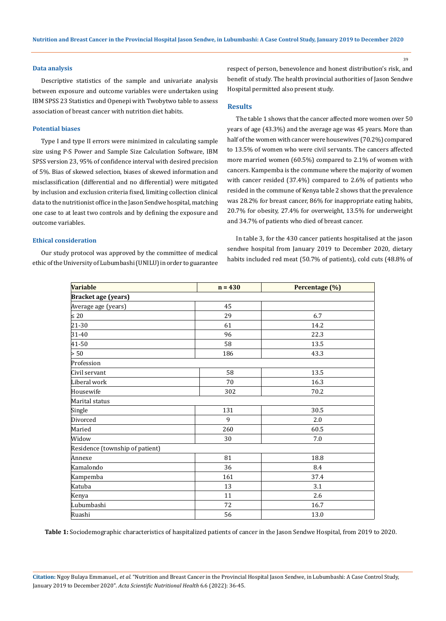#### **Data analysis**

Descriptive statistics of the sample and univariate analysis between exposure and outcome variables were undertaken using IBM SPSS 23 Statistics and Openepi with Twobytwo table to assess association of breast cancer with nutrition diet habits.

#### **Potential biases**

Type I and type II errors were minimized in calculating sample size using P-S Power and Sample Size Calculation Software, IBM SPSS version 23, 95% of confidence interval with desired precision of 5%. Bias of skewed selection, biases of skewed information and misclassification (differential and no differential) were mitigated by inclusion and exclusion criteria fixed, limiting collection clinical data to the nutritionist office in the Jason Sendwe hospital, matching one case to at least two controls and by defining the exposure and outcome variables.

# **Ethical consideration**

Our study protocol was approved by the committee of medical ethic of the University of Lubumbashi (UNILU) in order to guarantee respect of person, benevolence and honest distribution's risk, and benefit of study. The health provincial authorities of Jason Sendwe Hospital permitted also present study.

# **Results**

The table 1 shows that the cancer affected more women over 50 years of age (43.3%) and the average age was 45 years. More than half of the women with cancer were housewives (70.2%) compared to 13.5% of women who were civil servants. The cancers affected more married women (60.5%) compared to 2.1% of women with cancers. Kampemba is the commune where the majority of women with cancer resided (37.4%) compared to 2.6% of patients who resided in the commune of Kenya table 2 shows that the prevalence was 28.2% for breast cancer, 86% for inappropriate eating habits, 20.7% for obesity, 27.4% for overweight, 13.5% for underweight and 34.7% of patients who died of breast cancer.

In table 3, for the 430 cancer patients hospitalised at the jason sendwe hospital from January 2019 to December 2020, dietary habits included red meat (50.7% of patients), cold cuts (48.8% of

| Variable                        | $n = 430$ | Percentage (%) |  |  |  |  |  |
|---------------------------------|-----------|----------------|--|--|--|--|--|
| <b>Bracket age (years)</b>      |           |                |  |  |  |  |  |
| Average age (years)             | 45        |                |  |  |  |  |  |
| $\leq 20$                       | 29        | 6.7            |  |  |  |  |  |
| $21 - 30$                       | 61        | 14.2           |  |  |  |  |  |
| $31 - 40$                       | 96        | 22.3           |  |  |  |  |  |
| 41-50                           | 58        | 13.5           |  |  |  |  |  |
| > 50                            | 186       | 43.3           |  |  |  |  |  |
| Profession                      |           |                |  |  |  |  |  |
| Civil servant                   | 58        | 13.5           |  |  |  |  |  |
| Liberal work                    | 70        | 16.3           |  |  |  |  |  |
| Housewife                       | 302       | 70.2           |  |  |  |  |  |
| Marital status                  |           |                |  |  |  |  |  |
| Single                          | 131       | 30.5           |  |  |  |  |  |
| Divorced                        | 9         | 2.0            |  |  |  |  |  |
| Maried                          | 260       | 60.5           |  |  |  |  |  |
| Widow                           | 30        | 7.0            |  |  |  |  |  |
| Residence (township of patient) |           |                |  |  |  |  |  |
| Annexe                          | 81        | 18.8           |  |  |  |  |  |
| Kamalondo                       | 36        | 8.4            |  |  |  |  |  |
| Kampemba                        | 161       | 37.4           |  |  |  |  |  |
| Katuba                          | 13        | 3.1            |  |  |  |  |  |
| Kenya                           | 11        | 2.6            |  |  |  |  |  |
| Lubumbashi                      | 72        | 16.7           |  |  |  |  |  |
| Ruashi                          | 56        | 13.0           |  |  |  |  |  |

**Table 1:** Sociodemographic characteristics of haspitalized patients of cancer in the Jason Sendwe Hospital, from 2019 to 2020.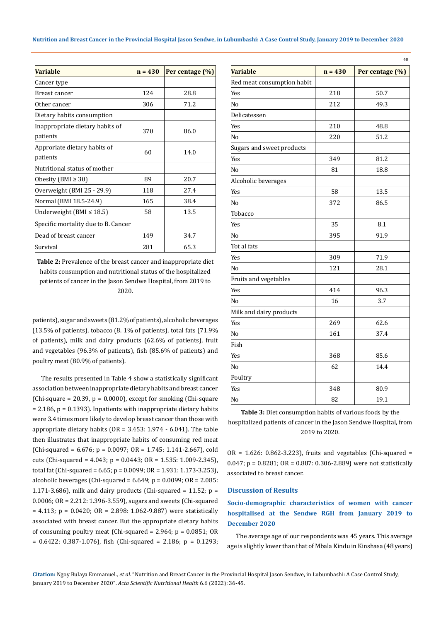| <b>Variable</b>                             | $n = 430$ | Per centage (%) |  |  |
|---------------------------------------------|-----------|-----------------|--|--|
| Cancer type                                 |           |                 |  |  |
| Breast cancer                               | 124       | 28.8            |  |  |
| Other cancer                                | 306       | 71.2            |  |  |
| Dietary habits consumption                  |           |                 |  |  |
| Inappropriate dietary habits of<br>patients | 370       | 86.0            |  |  |
| Approriate dietary habits of<br>patients    | 60        | 14.0            |  |  |
| Nutritional status of mother                |           |                 |  |  |
| Obesity (BMI $\geq$ 30)                     | 89        | 20.7            |  |  |
| Overweight (BMI 25 - 29.9)                  | 118       | 27.4            |  |  |
| Normal (BMI 18.5-24.9)                      | 165       | 38.4            |  |  |
| Underweight (BMI ≤ 18.5)                    | 58        | 13.5            |  |  |
| Specific mortality due to B. Cancer         |           |                 |  |  |
| Dead of breast cancer                       | 149       | 34.7            |  |  |
| Survival                                    | 281       | 65.3            |  |  |

**Table 2:** Prevalence of the breast cancer and inappropriate diet habits consumption and nutritional status of the hospitalized patients of cancer in the Jason Sendwe Hospital, from 2019 to 2020.

patients), sugar and sweets (81.2% of patients), alcoholic beverages (13.5% of patients), tobacco (8. 1% of patients), total fats (71.9% of patients), milk and dairy products (62.6% of patients), fruit and vegetables (96.3% of patients), fish (85.6% of patients) and poultry meat (80.9% of patients).

The results presented in Table 4 show a statistically significant association between inappropriate dietary habits and breast cancer (Chi-square = 20.39,  $p = 0.0000$ ), except for smoking (Chi-square  $= 2.186$ ,  $p = 0.1393$ ). Inpatients with inappropriate dietary habits were 3.4 times more likely to develop breast cancer than those with appropriate dietary habits  $(OR = 3.453: 1.974 - 6.041)$ . The table then illustrates that inappropriate habits of consuming red meat  $(Chi-squared = 6.676; p = 0.0097; OR = 1.745: 1.141-2.667)$ , cold cuts (Chi-squared = 4.043; p = 0.0443; OR = 1.535: 1.009-2.345), total fat (Chi-squared =  $6.65$ ; p =  $0.0099$ ; OR =  $1.931: 1.173-3.253$ ), alcoholic beverages (Chi-squared =  $6.649$ ; p =  $0.0099$ ; OR =  $2.085$ : 1.171-3.686), milk and dairy products (Chi-squared = 11.52;  $p =$ 0.0006; OR = 2.212: 1.396-3.559), sugars and sweets (Chi-squared  $= 4.113$ ;  $p = 0.0420$ ;  $OR = 2.898$ : 1.062-9.887) were statistically associated with breast cancer. But the appropriate dietary habits of consuming poultry meat (Chi-squared =  $2.964$ ;  $p = 0.0851$ ; OR  $= 0.6422$ : 0.387-1.076), fish (Chi-squared  $= 2.186$ ; p  $= 0.1293$ ;

| <b>Variable</b>            | $n = 430$ | 40              |  |  |
|----------------------------|-----------|-----------------|--|--|
|                            |           | Per centage (%) |  |  |
| Red meat consumption habit |           |                 |  |  |
| Yes                        | 218       | 50.7            |  |  |
| No                         | 212       | 49.3            |  |  |
| Delicatessen               |           |                 |  |  |
| Yes                        | 210       | 48.8            |  |  |
| No                         | 220       | 51.2            |  |  |
| Sugars and sweet products  |           |                 |  |  |
| Yes                        | 349       | 81.2            |  |  |
| No                         | 81        | 18.8            |  |  |
| Alcoholic beverages        |           |                 |  |  |
| Yes                        | 58        | 13.5            |  |  |
| No                         | 372       | 86.5            |  |  |
| Tobacco                    |           |                 |  |  |
| Yes                        | 35        | 8.1             |  |  |
| No                         | 395       | 91.9            |  |  |
| Tot al fats                |           |                 |  |  |
| Yes                        | 309       | 71.9            |  |  |
| No                         | 121       | 28.1            |  |  |
| Fruits and vegetables      |           |                 |  |  |
| Yes                        | 414       | 96.3            |  |  |
| No                         | 16        | 3.7             |  |  |
| Milk and dairy products    |           |                 |  |  |
| Yes                        | 269       | 62.6            |  |  |
| No                         | 161       | 37.4            |  |  |
| Fish                       |           |                 |  |  |
| Yes                        | 368       | 85.6            |  |  |
| No                         | 62        | 14.4            |  |  |
| Poultry                    |           |                 |  |  |
| Yes                        | 348       | 80.9            |  |  |
| No                         | 82        | 19.1            |  |  |

**Table 3:** Diet consumption habits of various foods by the hospitalized patients of cancer in the Jason Sendwe Hospital, from 2019 to 2020.

 $OR = 1.626$ : 0.862-3.223), fruits and vegetables (Chi-squared = 0.047; p = 0.8281; OR = 0.887: 0.306-2.889) were not statistically associated to breast cancer.

# **Discussion of Results**

**Socio-demographic characteristics of women with cancer hospitalised at the Sendwe RGH from January 2019 to December 2020**

The average age of our respondents was 45 years. This average age is slightly lower than that of Mbala Kindu in Kinshasa (48 years)

**Citation:** Ngoy Bulaya Emmanuel*., et al.* "Nutrition and Breast Cancer in the Provincial Hospital Jason Sendwe, in Lubumbashi: A Case Control Study, January 2019 to December 2020". *Acta Scientific Nutritional Health* 6.6 (2022): 36-45.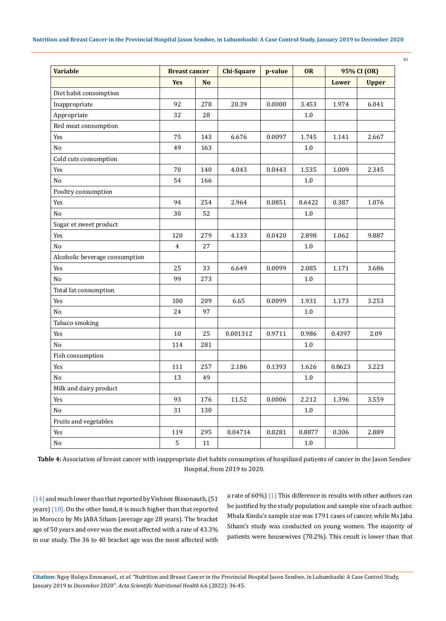| <b>Variable</b>                | <b>Breast cancer</b> |           | <b>Chi-Square</b> | p-value | <b>OR</b> | 95% CI (OR) |              |
|--------------------------------|----------------------|-----------|-------------------|---------|-----------|-------------|--------------|
|                                | <b>Yes</b>           | <b>No</b> |                   |         |           | Lower       | <b>Upper</b> |
| Diet habit consomption         |                      |           |                   |         |           |             |              |
| Inappropriate                  | 92                   | 278       | 20.39             | 0.0000  | 3.453     | 1.974       | 6.041        |
| Appropriate                    | 32                   | 28        |                   |         | $1.0\,$   |             |              |
| Red meat consumption           |                      |           |                   |         |           |             |              |
| Yes                            | 75                   | 143       | 6.676             | 0.0097  | 1.745     | 1.141       | 2.667        |
| No                             | 49                   | 163       |                   |         | $1.0\,$   |             |              |
| Cold cuts consumption          |                      |           |                   |         |           |             |              |
| Yes                            | 70                   | 140       | 4.043             | 0.0443  | 1.535     | 1.009       | 2.345        |
| No                             | 54                   | 166       |                   |         | $1.0\,$   |             |              |
| Poultry consumption            |                      |           |                   |         |           |             |              |
| Yes                            | 94                   | 254       | 2.964             | 0.0851  | 0.6422    | 0.387       | 1.076        |
| $\rm No$                       | 30                   | 52        |                   |         | $1.0\,$   |             |              |
| Sugar et sweet product         |                      |           |                   |         |           |             |              |
| Yes                            | 120                  | 279       | 4.133             | 0.0420  | 2.898     | 1.062       | 9.887        |
| No                             | $\overline{4}$       | 27        |                   |         | $1.0\,$   |             |              |
| Alcoholic beverage consumption |                      |           |                   |         |           |             |              |
| Yes                            | 25                   | 33        | 6.649             | 0.0099  | 2.085     | 1.171       | 3.686        |
| No                             | 99                   | 273       |                   |         | $1.0\,$   |             |              |
| Total fat consumption          |                      |           |                   |         |           |             |              |
| Yes                            | 100                  | 209       | 6.65              | 0.0099  | 1.931     | 1.173       | 3.253        |
| No                             | 24                   | 97        |                   |         | $1.0\,$   |             |              |
| Tabaco smoking                 |                      |           |                   |         |           |             |              |
| Yes                            | 10                   | 25        | 0.001312          | 0.9711  | 0.986     | 0.4397      | 2.09         |
| No                             | 114                  | 281       |                   |         | 1.0       |             |              |
| Fish consumption               |                      |           |                   |         |           |             |              |
| Yes                            | 111                  | 257       | 2.186             | 0.1393  | 1.626     | 0.8623      | 3.223        |
| No                             | 13                   | 49        |                   |         | $1.0\,$   |             |              |
| Milk and dairy product         |                      |           |                   |         |           |             |              |
| Yes                            | 93                   | 176       | 11.52             | 0.0006  | 2.212     | 1.396       | 3.559        |
| $\rm No$                       | 31                   | 130       |                   |         | $1.0\,$   |             |              |
| Fruits and vegetables          |                      |           |                   |         |           |             |              |
| Yes                            | 119                  | 295       | 0.04714           | 0.8281  | 0.8877    | 0.306       | 2.889        |
| No                             | 5                    | 11        |                   |         | $1.0\,$   |             |              |

**Table 4:** Association of breast cancer with inappropriate diet habits consumption of hospilized patients of cancer in the Jason Sendwe Hospital, from 2019 to 2020.

[14] and much lower than that reported by Vishnee Bissonauth, [51 years) [18]. On the other hand, it is much higher than that reported in Morocco by Ms JABA Siham (average age 28 years). The bracket age of 50 years and over was the most affected with a rate of 43.3% in our study. The 36 to 40 bracket age was the most affected with a rate of 60%) [1] This difference in results with other authors can be justified by the study population and sample size of each author. Mbala Kindu's sample size was 1791 cases of cancer, while Ms Jaba Siham's study was conducted on young women. The majority of patients were housewives (70.2%). This result is lower than that

41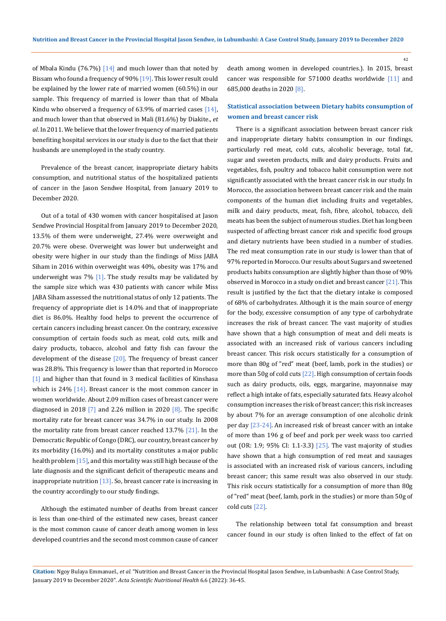of Mbala Kindu (76.7%)  $[14]$  and much lower than that noted by Bissam who found a frequency of 90% [19]. This lower result could be explained by the lower rate of married women (60.5%) in our sample. This frequency of married is lower than that of Mbala Kindu who observed a frequency of 63.9% of married cases  $[14]$ , and much lower than that observed in Mali (81.6%) by Diakite., *et al*. In 2011. We believe that the lower frequency of married patients benefiting hospital services in our study is due to the fact that their husbands are unemployed in the study country.

Prevalence of the breast cancer, inappropriate dietary habits consumption, and nutritional status of the hospitalized patients of cancer in the Jason Sendwe Hospital, from January 2019 to December 2020.

Out of a total of 430 women with cancer hospitalised at Jason Sendwe Provincial Hospital from January 2019 to December 2020, 13.5% of them were underweight, 27.4% were overweight and 20.7% were obese. Overweight was lower but underweight and obesity were higher in our study than the findings of Miss JABA Siham in 2016 within overweight was 40%, obesity was 17% and underweight was  $7\%$  [1]. The study results may be validated by the sample size which was 430 patients with cancer while Miss JABA Siham assessed the nutritional status of only 12 patients. The frequency of appropriate diet is 14.0% and that of inappropriate diet is 86.0%. Healthy food helps to prevent the occurrence of certain cancers including breast cancer. On the contrary, excessive consumption of certain foods such as meat, cold cuts, milk and dairy products, tobacco, alcohol and fatty fish can favour the development of the disease  $[20]$ . The frequency of breast cancer was 28.8%. This frequency is lower than that reported in Morocco [1] and higher than that found in 3 medical facilities of Kinshasa which is  $24\%$  [14]. Breast cancer is the most common cancer in women worldwide. About 2.09 million cases of breast cancer were diagnosed in 2018  $\boxed{7}$  and 2.26 million in 2020  $\boxed{8}$ . The specific mortality rate for breast cancer was 34.7% in our study. In 2008 the mortality rate from breast cancer reached  $13.7\%$  [21]. In the Democratic Republic of Congo (DRC), our country, breast cancer by its morbidity (16.0%) and its mortality constitutes a major public health problem [15], and this mortality was still high because of the late diagnosis and the significant deficit of therapeutic means and inappropriate nutrition  $[13]$ . So, breast cancer rate is increasing in the country accordingly to our study findings.

Although the estimated number of deaths from breast cancer is less than one-third of the estimated new cases, breast cancer is the most common cause of cancer death among women in less developed countries and the second most common cause of cancer death among women in developed countries.). In 2015, breast cancer was responsible for 571000 deaths worldwide [11] and 685,000 deaths in 2020 [8].

# **Statistical association between Dietary habits consumption of women and breast cancer risk**

There is a significant association between breast cancer risk and inappropriate dietary habits consumption in our findings, particularly red meat, cold cuts, alcoholic beverage, total fat, sugar and sweeten products, milk and dairy products. Fruits and vegetables, fish, poultry and tobacco habit consumption were not significantly associated with the breast cancer risk in our study. In Morocco, the association between breast cancer risk and the main components of the human diet including fruits and vegetables, milk and dairy products, meat, fish, fibre, alcohol, tobacco, deli meats has been the subject of numerous studies. Diet has long been suspected of affecting breast cancer risk and specific food groups and dietary nutrients have been studied in a number of studies. The red meat consumption rate in our study is lower than that of 97% reported in Morocco. Our results about Sugars and sweetened products habits consumption are slightly higher than those of 90% observed in Morocco in a study on diet and breast cancer [21]. This result is justified by the fact that the dietary intake is composed of 68% of carbohydrates. Although it is the main source of energy for the body, excessive consumption of any type of carbohydrate increases the risk of breast cancer. The vast majority of studies have shown that a high consumption of meat and deli meats is associated with an increased risk of various cancers including breast cancer. This risk occurs statistically for a consumption of more than 80g of "red" meat (beef, lamb, pork in the studies) or more than 50g of cold cuts [22]. High consumption of certain foods such as dairy products, oils, eggs, margarine, mayonnaise may reflect a high intake of fats, especially saturated fats. Heavy alcohol consumption increases the risk of breast cancer; this risk increases by about 7% for an average consumption of one alcoholic drink per day [23-24]. An increased risk of breast cancer with an intake of more than 196 g of beef and pork per week wass too carried out (OR: 1.9; 95% CI: 1.1-3.3) [25]. The vast majority of studies have shown that a high consumption of red meat and sausages is associated with an increased risk of various cancers, including breast cancer; this same result was also observed in our study. This risk occurs statistically for a consumption of more than 80g of "red" meat (beef, lamb, pork in the studies) or more than 50g of cold cuts [22].

The relationship between total fat consumption and breast cancer found in our study is often linked to the effect of fat on

**Citation:** Ngoy Bulaya Emmanuel*., et al.* "Nutrition and Breast Cancer in the Provincial Hospital Jason Sendwe, in Lubumbashi: A Case Control Study, January 2019 to December 2020". *Acta Scientific Nutritional Health* 6.6 (2022): 36-45.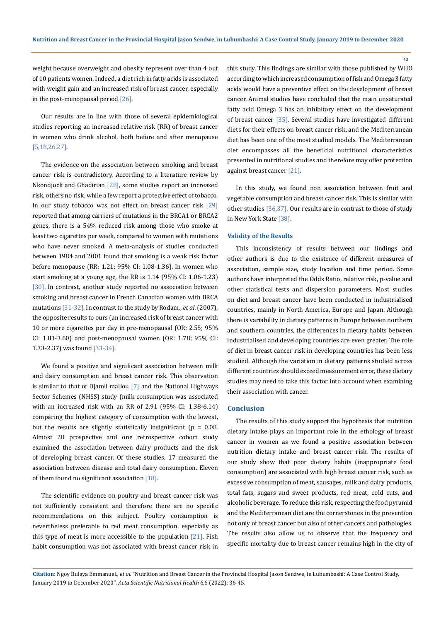weight because overweight and obesity represent over than 4 out of 10 patients women. Indeed, a diet rich in fatty acids is associated with weight gain and an increased risk of breast cancer, especially in the post-menopausal period [26].

Our results are in line with those of several epidemiological studies reporting an increased relative risk (RR) of breast cancer in women who drink alcohol, both before and after menopause [5,18,26,27].

The evidence on the association between smoking and breast cancer risk is contradictory. According to a literature review by Nkondjock and Ghadirian  $[28]$ , some studies report an increased risk, others no risk, while a few report a protective effect of tobacco. In our study tobacco was not effect on breast cancer risk [29] reported that among carriers of mutations in the BRCA1 or BRCA2 genes, there is a 54% reduced risk among those who smoke at least two cigarettes per week, compared to women with mutations who have never smoked. A meta-analysis of studies conducted between 1984 and 2001 found that smoking is a weak risk factor before menopause (RR: 1.21; 95% CI: 1.08-1.36). In women who start smoking at a young age, the RR is 1.14 (95% CI: 1.06-1.23) [30]. In contrast, another study reported no association between smoking and breast cancer in French Canadian women with BRCA mutations [31-32]. In contrast to the study by Rodam., *et al*. (2007), the opposite results to ours (an increased risk of breast cancer with 10 or more cigarettes per day in pre-menopausal (OR: 2.55; 95% CI: 1.81-3.60) and post-menopausal women (OR: 1.78; 95% CI: 1.33-2.37) was found [33-34].

We found a positive and significant association between milk and dairy consumption and breast cancer risk. This observation is similar to that of Djamil maliou  $[7]$  and the National Highways Sector Schemes (NHSS) study (milk consumption was associated with an increased risk with an RR of 2.91 (95% CI: 1.38-6.14) comparing the highest category of consumption with the lowest, but the results are slightly statistically insignificant ( $p = 0.08$ . Almost 28 prospective and one retrospective cohort study examined the association between dairy products and the risk of developing breast cancer. Of these studies, 17 measured the association between disease and total dairy consumption. Eleven of them found no significant association [18].

The scientific evidence on poultry and breast cancer risk was not sufficiently consistent and therefore there are no specific recommendations on this subject. Poultry consumption is nevertheless preferable to red meat consumption, especially as this type of meat is more accessible to the population  $[21]$ . Fish habit consumption was not associated with breast cancer risk in this study. This findings are similar with those published by WHO according to which increased consumption of fish and Omega 3 fatty acids would have a preventive effect on the development of breast cancer. Animal studies have concluded that the main unsaturated fatty acid Omega 3 has an inhibitory effect on the development of breast cancer [35]. Several studies have investigated different diets for their effects on breast cancer risk, and the Mediterranean diet has been one of the most studied models. The Mediterranean diet encompasses all the beneficial nutritional characteristics presented in nutritional studies and therefore may offer protection against breast cancer [21].

In this study, we found non association between fruit and vegetable consumption and breast cancer risk. This is similar with other studies [36,37]. Our results are in contrast to those of study in New York State [38].

#### **Validity of the Results**

This inconsistency of results between our findings and other authors is due to the existence of different measures of association, sample size, study location and time period. Some authors have interpreted the Odds Ratio, relative risk, p-value and other statistical tests and dispersion parameters. Most studies on diet and breast cancer have been conducted in industrialised countries, mainly in North America, Europe and Japan. Although there is variability in dietary patterns in Europe between northern and southern countries, the differences in dietary habits between industrialised and developing countries are even greater. The role of diet in breast cancer risk in developing countries has been less studied. Although the variation in dietary patterns studied across different countries should exceed measurement error, these dietary studies may need to take this factor into account when examining their association with cancer.

### **Conclusion**

The results of this study support the hypothesis that nutrition dietary intake plays an important role in the ethology of breast cancer in women as we found a positive association between nutrition dietary intake and breast cancer risk. The results of our study show that poor dietary habits (inappropriate food consumption) are associated with high breast cancer risk, such as excessive consumption of meat, sausages, milk and dairy products, total fats, sugars and sweet products, red meat, cold cuts, and alcoholic beverage. To reduce this risk, respecting the food pyramid and the Mediterranean diet are the cornerstones in the prevention not only of breast cancer but also of other cancers and pathologies. The results also allow us to observe that the frequency and specific mortality due to breast cancer remains high in the city of

**Citation:** Ngoy Bulaya Emmanuel*., et al.* "Nutrition and Breast Cancer in the Provincial Hospital Jason Sendwe, in Lubumbashi: A Case Control Study, January 2019 to December 2020". *Acta Scientific Nutritional Health* 6.6 (2022): 36-45.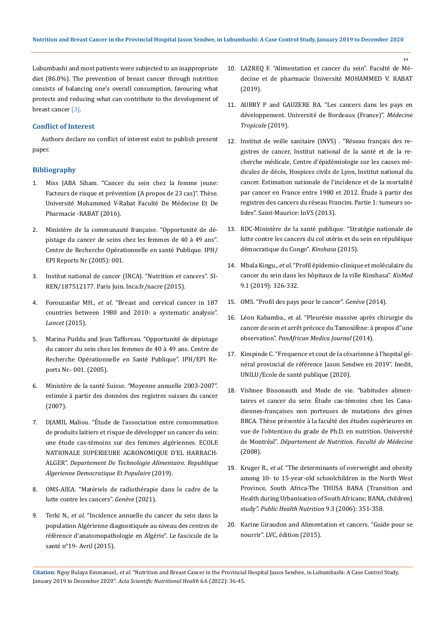Lubumbashi and most patients were subjected to an inappropriate diet (86.0%). The prevention of breast cancer through nutrition consists of balancing one's overall consumption, favouring what protects and reducing what can contribute to the development of breast cancer [3].

## **Conflict of Interest**

Authors declare no conflict of interest exist to publish present paper.

# **Bibliography**

- 1. Miss JABA Siham. "Cancer du sein chez la femme jeune: Facteurs de risque et prévention (A propos de 23 cas)". Thèse. Université Mohammed V-Rabat Faculté De Médecine Et De Pharmacie -RABAT (2016).
- 2. Ministère de la communauté française. "Opportunité de dépistage du cancer de seins chez les femmes de 40 à 49 ans". Centre de Recherche Opérationnelle en santé Publique. IPH/ EPI Reports Nr (2005): 001.
- 3. Institut national de cancer (INCA). "Nutrition et cancers". SI-REN/187512177. Paris Juin. Inca.fr/nacre (2015).
- 4. Forouzanfar MH., *et al*[. "Breast and cervical cancer in 187](https://pubmed.ncbi.nlm.nih.gov/21924486/)  [countries between 1980 and 2010: a systematic analysis".](https://pubmed.ncbi.nlm.nih.gov/21924486/)  *Lancet* [\(2015\).](https://pubmed.ncbi.nlm.nih.gov/21924486/)
- 5. [Marina Puddu and Jean Tafforeau. "Opportunité de dépistage](file:///E:/Acta%20pdfs--%20Rajani/MAY/ASNH/ASNH-22-RA-114/Opportunité%20de%20dépistage%20du%20cancer%20du%20sein%20chez%20les%20femmes%20de%2040%20à%2049%20ans.%20Centre%20de%20Recherche%20Opérationnelle%20en%20Santé%20Publique)  [du cancer du sein chez les femmes de 40 à 49 ans. Centre de](file:///E:/Acta%20pdfs--%20Rajani/MAY/ASNH/ASNH-22-RA-114/Opportunité%20de%20dépistage%20du%20cancer%20du%20sein%20chez%20les%20femmes%20de%2040%20à%2049%20ans.%20Centre%20de%20Recherche%20Opérationnelle%20en%20Santé%20Publique)  [Recherche Opérationnelle en Santé Publique". IPH/EPI Re](file:///E:/Acta%20pdfs--%20Rajani/MAY/ASNH/ASNH-22-RA-114/Opportunité%20de%20dépistage%20du%20cancer%20du%20sein%20chez%20les%20femmes%20de%2040%20à%2049%20ans.%20Centre%20de%20Recherche%20Opérationnelle%20en%20Santé%20Publique)[ports Nr.- 001. \(2005\).](file:///E:/Acta%20pdfs--%20Rajani/MAY/ASNH/ASNH-22-RA-114/Opportunité%20de%20dépistage%20du%20cancer%20du%20sein%20chez%20les%20femmes%20de%2040%20à%2049%20ans.%20Centre%20de%20Recherche%20Opérationnelle%20en%20Santé%20Publique)
- 6. Ministère de la santé Suisse. "Moyenne annuelle 2003-2007". estimée à partir des données des registres suisses du cancer (2007).
- 7. DJAMIL Maliou. "Étude de l'association entre consommation de produits laitiers et risque de développer un cancer du sein: une étude cas-témoins sur des femmes algériennes. ECOLE NATIONALE SUPERIEURE AGRONOMIQUE D'EL HARRACH-ALGER". *Departement De Technologie Alimentaire. Republique Algerienne Democratique Et Populaire* (2019).
- 8. OMS-AIEA. "Matériels de radiothérapie dans le cadre de la lutte contre les cancers". *Genève* (2021).
- 9. Terki N., *et al*. "Incidence annuelle du cancer du sein dans la population Algérienne diagnostiquée au niveau des centres de référence d'anatomopathologie en Algérie". Le fascicule de la santé n°19- Avril (2015).
- 10. [LAZREQ F. "Alimentation et cancer du sein". Faculté de Mé](http://ao.um5.ac.ma/xmlui/handle/123456789/15497)decine et de pharmacie [Université MOHAMMED V. RABAT](http://ao.um5.ac.ma/xmlui/handle/123456789/15497)  [\(2019\).](http://ao.um5.ac.ma/xmlui/handle/123456789/15497)
- 11. [AUBRY P and GAUZERE BA. "Les cancers dans les pays en](http://medecinetropicale.free.fr/cours/cancer.pdf)  [développement. Université de Bordeaux \(France\)".](http://medecinetropicale.free.fr/cours/cancer.pdf) *Médecine [Tropicale](http://medecinetropicale.free.fr/cours/cancer.pdf)* (2019).
- 12. Institut de veille sanitaire (INVS) . "Réseau français des registres de cancer, Institut national de la santé et de la recherche médicale, Centre d'épidémiologie sur les causes médicales de décès, Hospices civils de Lyon, Institut national du cancer. Estimation nationale de l'incidence et de la mortalité par cancer en France entre 1980 et 2012. Étude à partir des registres des cancers du réseau Francim. Partie 1: tumeurs solides". Saint-Maurice: InVS (2013).
- 13. [RDC-Ministère de la santé publique. "Stratégie nationale de](https://www.politico.cd/encontinu/2020/02/06/rdc-le-gouvernement-adopte-une-strategie-nationale-de-lutte-contre-les-cancers-du-col-uterin-et-du-sein.html/53813/)  [lutte contre les cancers du col utérin et du sein en république](https://www.politico.cd/encontinu/2020/02/06/rdc-le-gouvernement-adopte-une-strategie-nationale-de-lutte-contre-les-cancers-du-col-uterin-et-du-sein.html/53813/)  [démocratique du Congo".](https://www.politico.cd/encontinu/2020/02/06/rdc-le-gouvernement-adopte-une-strategie-nationale-de-lutte-contre-les-cancers-du-col-uterin-et-du-sein.html/53813/) *Kinshasa* (2015).
- 14. Mbala Kingu., *et al*[. "Profil épidemio-clinique et moléculaire du](https://kismed-unikis.org/wp-content/uploads/2016/10/1.KisMed.9.1.Mbala_.Cancer.sein_.pdf)  [cancer du sein dans les hôpitaux de la ville Kinshasa".](https://kismed-unikis.org/wp-content/uploads/2016/10/1.KisMed.9.1.Mbala_.Cancer.sein_.pdf) *KisMed* [9.1 \(2019\): 326-332.](https://kismed-unikis.org/wp-content/uploads/2016/10/1.KisMed.9.1.Mbala_.Cancer.sein_.pdf)
- 15. OMS. "Profil des pays pour le cancer". *Genève* (2014).
- 16. [Léon Kabamba., et al. "Pleurésie massive après chirurgie du](https://www.ncbi.nlm.nih.gov/pmc/articles/PMC4218650/)  [cancer de sein et arrêt précoce du Tamoxifène: à propos d''une](https://www.ncbi.nlm.nih.gov/pmc/articles/PMC4218650/)  observation". *[PanAfrican Medica Journal](https://www.ncbi.nlm.nih.gov/pmc/articles/PMC4218650/)* (2014).
- 17. Kimpinde C. "Frequence et cout de la césarienne à l'hopital général provincial de référence Jason Sendwe en 2019". Inedit, UNILU/Ecole de santé publique (2020).
- 18. Vishnee Bissonauth and Mode de vie. "habitudes alimentaires et cancer du sein: Étude cas-témoins chez les Canadiennes-françaises non porteuses de mutations des gènes BRCA. Thèse présentée à la faculté des études supérieures en vue de l'obtention du grade de Ph.D. en nutrition. Université de Montréal". *Département de Nutrition. Faculté de Médecine* (2008).
- 19. Kruger R., *et al*[. "The determinants of overweight and obesity](https://pubmed.ncbi.nlm.nih.gov/16684387/)  [among 10- to 15-year-old schoolchildren in the North West](https://pubmed.ncbi.nlm.nih.gov/16684387/)  [Province, South Africa-The THUSA BANA \(Transition and](https://pubmed.ncbi.nlm.nih.gov/16684387/)  [Health during Urbanisation of South Africans; BANA, children\)](https://pubmed.ncbi.nlm.nih.gov/16684387/)  study". *[Public Health Nutrition](https://pubmed.ncbi.nlm.nih.gov/16684387/)* 9.3 (2006): 351-358.
- 20. Karine Giraudon and Alimentation et cancers. "Guide pour se nourrir". LVC, édition (2015).

**Citation:** Ngoy Bulaya Emmanuel*., et al.* "Nutrition and Breast Cancer in the Provincial Hospital Jason Sendwe, in Lubumbashi: A Case Control Study, January 2019 to December 2020". *Acta Scientific Nutritional Health* 6.6 (2022): 36-45.